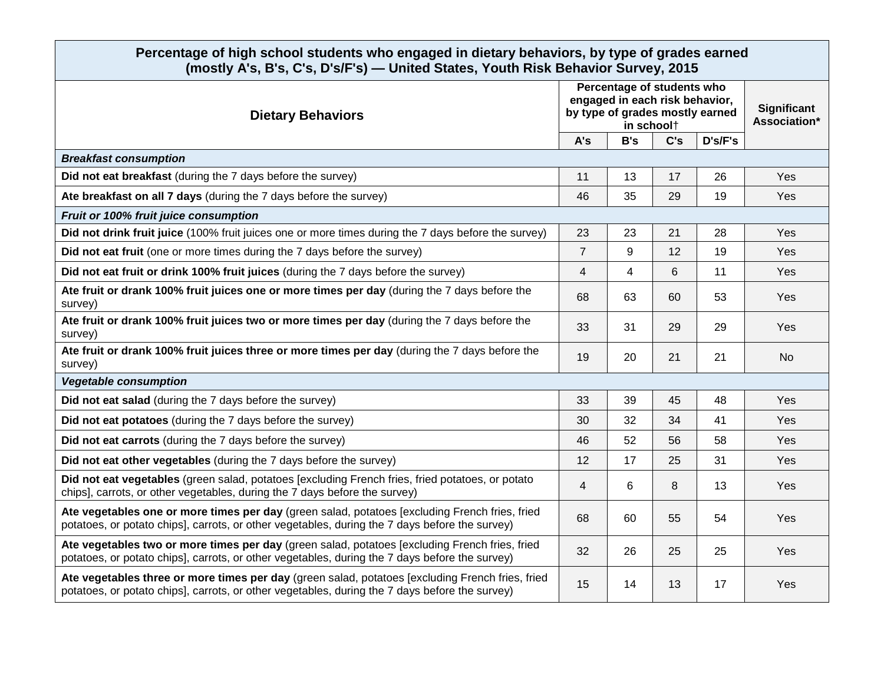## **Percentage of high school students who engaged in dietary behaviors, by type of grades earned (mostly A's, B's, C's, D's/F's) — United States, Youth Risk Behavior Survey, 2015**

| <b>Dietary Behaviors</b>                                                                                                                                                                           | Percentage of students who<br>engaged in each risk behavior,<br>by type of grades mostly earned<br>in school† |                |     |         | Significant<br>Association* |  |  |  |
|----------------------------------------------------------------------------------------------------------------------------------------------------------------------------------------------------|---------------------------------------------------------------------------------------------------------------|----------------|-----|---------|-----------------------------|--|--|--|
|                                                                                                                                                                                                    | A's                                                                                                           | B's            | C's | D's/F's |                             |  |  |  |
| <b>Breakfast consumption</b>                                                                                                                                                                       |                                                                                                               |                |     |         |                             |  |  |  |
| Did not eat breakfast (during the 7 days before the survey)                                                                                                                                        | 11                                                                                                            | 13             | 17  | 26      | Yes                         |  |  |  |
| Ate breakfast on all 7 days (during the 7 days before the survey)                                                                                                                                  | 46                                                                                                            | 35             | 29  | 19      | Yes                         |  |  |  |
| Fruit or 100% fruit juice consumption                                                                                                                                                              |                                                                                                               |                |     |         |                             |  |  |  |
| Did not drink fruit juice (100% fruit juices one or more times during the 7 days before the survey)                                                                                                | 23                                                                                                            | 23             | 21  | 28      | Yes                         |  |  |  |
| Did not eat fruit (one or more times during the 7 days before the survey)                                                                                                                          | $\overline{7}$                                                                                                | 9              | 12  | 19      | Yes                         |  |  |  |
| Did not eat fruit or drink 100% fruit juices (during the 7 days before the survey)                                                                                                                 | 4                                                                                                             | $\overline{4}$ | 6   | 11      | Yes                         |  |  |  |
| Ate fruit or drank 100% fruit juices one or more times per day (during the 7 days before the<br>survey)                                                                                            | 68                                                                                                            | 63             | 60  | 53      | Yes                         |  |  |  |
| Ate fruit or drank 100% fruit juices two or more times per day (during the 7 days before the<br>survey)                                                                                            | 33                                                                                                            | 31             | 29  | 29      | Yes                         |  |  |  |
| Ate fruit or drank 100% fruit juices three or more times per day (during the 7 days before the<br>survey)                                                                                          | 19                                                                                                            | 20             | 21  | 21      | <b>No</b>                   |  |  |  |
| <b>Vegetable consumption</b>                                                                                                                                                                       |                                                                                                               |                |     |         |                             |  |  |  |
| Did not eat salad (during the 7 days before the survey)                                                                                                                                            | 33                                                                                                            | 39             | 45  | 48      | Yes                         |  |  |  |
| Did not eat potatoes (during the 7 days before the survey)                                                                                                                                         | 30                                                                                                            | 32             | 34  | 41      | Yes                         |  |  |  |
| Did not eat carrots (during the 7 days before the survey)                                                                                                                                          | 46                                                                                                            | 52             | 56  | 58      | Yes                         |  |  |  |
| Did not eat other vegetables (during the 7 days before the survey)                                                                                                                                 | 12                                                                                                            | 17             | 25  | 31      | Yes                         |  |  |  |
| Did not eat vegetables (green salad, potatoes [excluding French fries, fried potatoes, or potato<br>chips], carrots, or other vegetables, during the 7 days before the survey)                     | 4                                                                                                             | 6              | 8   | 13      | Yes                         |  |  |  |
| Ate vegetables one or more times per day (green salad, potatoes [excluding French fries, fried<br>potatoes, or potato chips], carrots, or other vegetables, during the 7 days before the survey)   | 68                                                                                                            | 60             | 55  | 54      | Yes                         |  |  |  |
| Ate vegetables two or more times per day (green salad, potatoes [excluding French fries, fried<br>potatoes, or potato chips], carrots, or other vegetables, during the 7 days before the survey)   | 32                                                                                                            | 26             | 25  | 25      | Yes                         |  |  |  |
| Ate vegetables three or more times per day (green salad, potatoes [excluding French fries, fried<br>potatoes, or potato chips], carrots, or other vegetables, during the 7 days before the survey) | 15                                                                                                            | 14             | 13  | 17      | Yes                         |  |  |  |